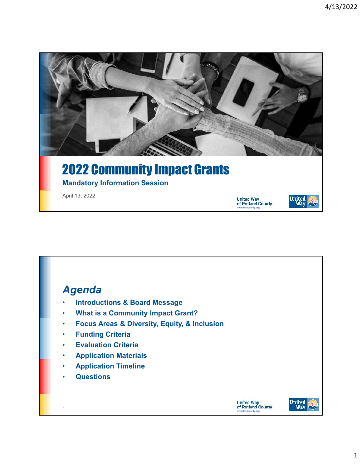

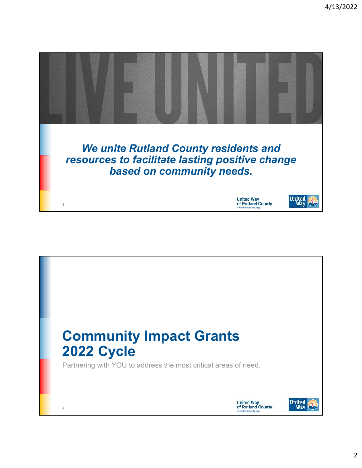

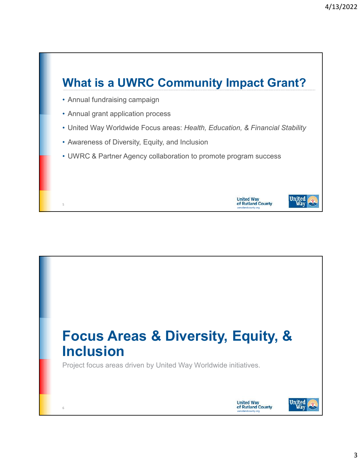### What is a UWRC Community Impact Grant?

• Annual fundraising campaign

5

- Annual grant application process
- United Way Worldwide Focus areas: Health, Education, & Financial Stability

uwrutlandcounty.org

**United Way<br>of Rutland County** 

United<br>Way

- Awareness of Diversity, Equity, and Inclusion
- UWRC & Partner Agency collaboration to promote program success

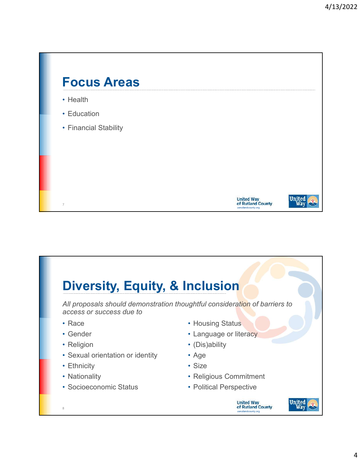

# Diversity, Equity, & Inclusion

All proposals should demonstration thoughtful consideration of barriers to access or success due to

- Race
- Gender
- Religion
- Sexual orientation or identity
- Ethnicity

8

- Nationality
- Socioeconomic Status
- Housing Status
- Language or literacy
- (Dis)ability
- Age
- Size
- Religious Commitment
- Political Perspective

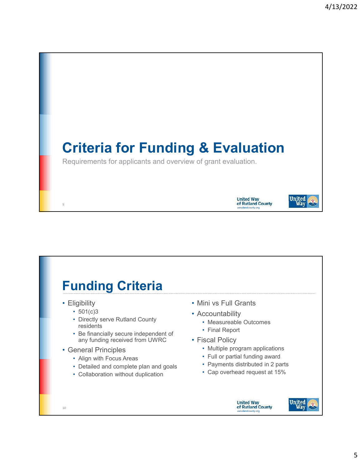

#### Funding Criteria• Mini vs Full Grants • Eligibility •  $501(c)3$ • Accountability • Directly serve Rutland County • Measureable Outcomes residents • Final Report • Be financially secure independent of any funding received from UWRC • Fiscal Policy • Multiple program applications • General Principles • Full or partial funding award • Align with Focus Areas • Payments distributed in 2 parts • Detailed and complete plan and goals • Cap overhead request at 15% • Collaboration without duplication **United Way** of Rutland County 10



uwrutlandcounty.org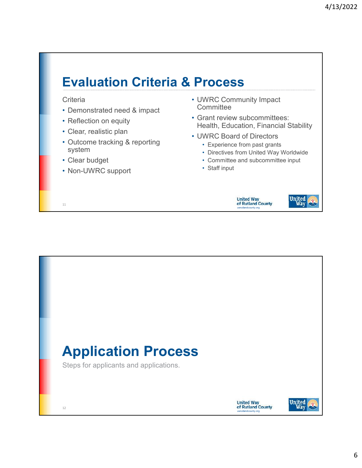## Evaluation Criteria & Process

#### **Criteria**

- Demonstrated need & impact
- Reflection on equity
- Clear, realistic plan
- Outcome tracking & reporting system
- Clear budget

11

• Non-UWRC support

- UWRC Community Impact **Committee**
- Grant review subcommittees: Health, Education, Financial Stability
- UWRC Board of Directors
	- Experience from past grants
	- Directives from United Way Worldwide
	- Committee and subcommittee input
	- Staff input





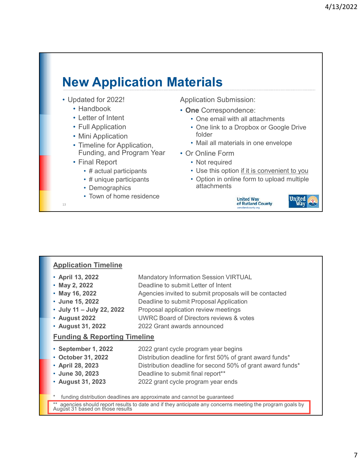# New Application Materials

- Updated for 2022!
	- Handbook
	- Letter of Intent
	- Full Application
	- Mini Application
	- Timeline for Application, Funding, and Program Year
	- Final Report
		- # actual participants
		- # unique participants
		- Demographics
		- Town of home residence

Application Submission:

- One Correspondence:
	- One email with all attachments
	- One link to a Dropbox or Google Drive folder
	- Mail all materials in one envelope
- Or Online Form
	- Not required
	- Use this option if it is convenient to you
	- Option in online form to upload multiple attachments





### Application Timeline

- April 13, 2022 Mandatory Information Session VIRTUAL
- May 2, 2022 Deadline to submit Letter of Intent

13

- May 16, 2022 Agencies invited to submit proposals will be contacted
- June 15, 2022 Deadline to submit Proposal Application
- July 11 July 22, 2022 Proposal application review meetings
- August 2022 UWRC Board of Directors reviews & votes
- August 31, 2022 2022 Grant awards announced

#### Funding & Reporting Timeline

- September 1, 2022 2022 grant cycle program year begins
- October 31, 2022 Distribution deadline for first 50% of grant award funds\*
- April 28, 2023 Distribution deadline for second 50% of grant award funds\*
- June 30, 2023 Deadline to submit final report\*\*
- August 31, 2023 2022 grant cycle program year ends

funding distribution deadlines are approximate and cannot be guaranteed

\*\* agencies should report results to date and if they anticipate any concerns meeting the program goals by August 31 based on those results